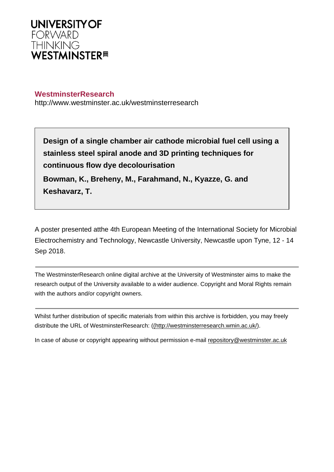

## **WestminsterResearch**

http://www.westminster.ac.uk/westminsterresearch

**Design of a single chamber air cathode microbial fuel cell using a stainless steel spiral anode and 3D printing techniques for continuous flow dye decolourisation**

**Bowman, K., Breheny, M., Farahmand, N., Kyazze, G. and Keshavarz, T.**

A poster presented atthe 4th European Meeting of the International Society for Microbial Electrochemistry and Technology, Newcastle University, Newcastle upon Tyne, 12 - 14 Sep 2018.

The WestminsterResearch online digital archive at the University of Westminster aims to make the research output of the University available to a wider audience. Copyright and Moral Rights remain with the authors and/or copyright owners.

Whilst further distribution of specific materials from within this archive is forbidden, you may freely distribute the URL of WestminsterResearch: [\(\(http://westminsterresearch.wmin.ac.uk/](http://westminsterresearch.wmin.ac.uk/)).

In case of abuse or copyright appearing without permission e-mail <repository@westminster.ac.uk>